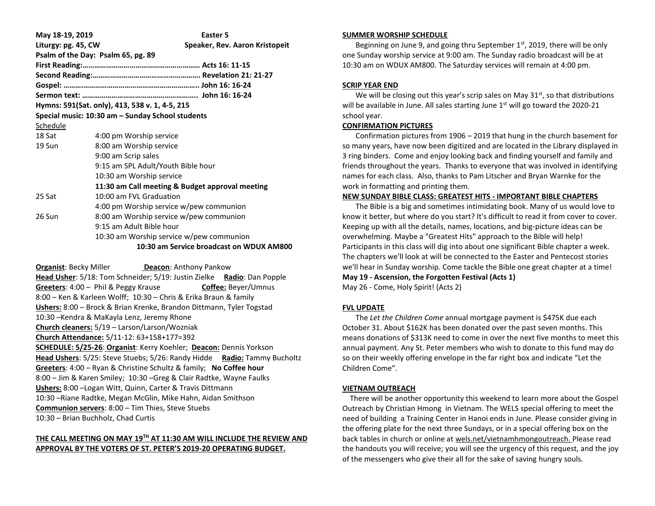| May 18-19, 2019                                  |                                                 | Easter 5                                 |
|--------------------------------------------------|-------------------------------------------------|------------------------------------------|
| Liturgy: pg. 45, CW                              |                                                 | Speaker, Rev. Aaron Kristopeit           |
| Psalm of the Day: Psalm 65, pg. 89               |                                                 |                                          |
|                                                  |                                                 |                                          |
|                                                  |                                                 |                                          |
|                                                  |                                                 |                                          |
|                                                  |                                                 |                                          |
| Hymns: 591(Sat. only), 413, 538 v. 1, 4-5, 215   |                                                 |                                          |
| Special music: 10:30 am – Sunday School students |                                                 |                                          |
| Schedule                                         |                                                 |                                          |
| 18 Sat                                           | 4:00 pm Worship service                         |                                          |
| 19 Sun                                           | 8:00 am Worship service                         |                                          |
|                                                  | 9:00 am Scrip sales                             |                                          |
|                                                  | 9:15 am SPL Adult/Youth Bible hour              |                                          |
|                                                  | 10:30 am Worship service                        |                                          |
|                                                  | 11:30 am Call meeting & Budget approval meeting |                                          |
| 25 Sat                                           | 10:00 am FVL Graduation                         |                                          |
|                                                  | 4:00 pm Worship service w/pew communion         |                                          |
| 26 Sun                                           | 8:00 am Worship service w/pew communion         |                                          |
|                                                  | 9:15 am Adult Bible hour                        |                                          |
|                                                  | 10:30 am Worship service w/pew communion        |                                          |
|                                                  |                                                 | 10:30 am Service broadcast on WDUX AM800 |

**Organist: Becky Miller <b>Deacon:** Anthony Pankow **Head Usher**: 5/18: Tom Schneider; 5/19: Justin Zielke **Radio**: Dan Popple **Greeters**: 4:00 – Phil & Peggy Krause **Coffee:** Beyer/Umnus 8:00 – Ken & Karleen Wolff; 10:30 – Chris & Erika Braun & family **Ushers:** 8:00 – Brock & Brian Krenke, Brandon Dittmann, Tyler Togstad 10:30 –Kendra & MaKayla Lenz, Jeremy Rhone **Church cleaners:** 5/19 – Larson/Larson/Wozniak **Church Attendance:** 5/11-12: 63+158+177=392 **SCHEDULE: 5/25-26**: **Organist**: Kerry Koehler; **Deacon:** Dennis Yorkson **Head Ushers**: 5/25: Steve Stuebs; 5/26: Randy Hidde **Radio:** Tammy Bucholtz **Greeters**: 4:00 – Ryan & Christine Schultz & family; **No Coffee hour** 8:00 – Jim & Karen Smiley; 10:30 –Greg & Clair Radtke, Wayne Faulks **Ushers:** 8:00 –Logan Witt, Quinn, Carter & Travis Dittmann 10:30 –Riane Radtke, Megan McGlin, Mike Hahn, Aidan Smithson **Communion servers**: 8:00 – Tim Thies, Steve Stuebs 10:30 – Brian Buchholz, Chad Curtis

# **THE CALL MEETING ON MAY 19TH AT 11:30 AM WILL INCLUDE THE REVIEW AND APPROVAL BY THE VOTERS OF ST. PETER'S 2019-20 OPERATING BUDGET.**

#### **SUMMER WORSHIP SCHEDULE**

Beginning on June 9, and going thru September  $1<sup>st</sup>$ , 2019, there will be only one Sunday worship service at 9:00 am. The Sunday radio broadcast will be at 10:30 am on WDUX AM800. The Saturday services will remain at 4:00 pm.

### **SCRIP YEAR END**

We will be closing out this year's scrip sales on May  $31<sup>st</sup>$ , so that distributions will be available in June. All sales starting June  $1<sup>st</sup>$  will go toward the 2020-21 school year.

### **CONFIRMATION PICTURES**

 Confirmation pictures from 1906 – 2019 that hung in the church basement for so many years, have now been digitized and are located in the Library displayed in 3 ring binders. Come and enjoy looking back and finding yourself and family and friends throughout the years. Thanks to everyone that was involved in identifying names for each class. Also, thanks to Pam Litscher and Bryan Warnke for the work in formatting and printing them.

### **NEW SUNDAY BIBLE CLASS: GREATEST HITS - IMPORTANT BIBLE CHAPTERS**

 The Bible is a big and sometimes intimidating book. Many of us would love to know it better, but where do you start? It's difficult to read it from cover to cover. Keeping up with all the details, names, locations, and big-picture ideas can be overwhelming. Maybe a "Greatest Hits" approach to the Bible will help! Participants in this class will dig into about one significant Bible chapter a week. The chapters we'll look at will be connected to the Easter and Pentecost stories we'll hear in Sunday worship. Come tackle the Bible one great chapter at a time! **May 19 - Ascension, the Forgotten Festival (Acts 1)** May 26 - Come, Holy Spirit! (Acts 2)

## **FVL UPDATE**

 The *Let the Children Come* annual mortgage payment is \$475K due each October 31. About \$162K has been donated over the past seven months. This means donations of \$313K need to come in over the next five months to meet this annual payment. Any St. Peter members who wish to donate to this fund may do so on their weekly offering envelope in the far right box and indicate "Let the Children Come".

### **VIETNAM OUTREACH**

 There will be another opportunity this weekend to learn more about the Gospel Outreach by Christian Hmong in Vietnam. The WELS special offering to meet the need of building a Training Center in Hanoi ends in June. Please consider giving in the offering plate for the next three Sundays, or in a special offering box on the back tables in church or online at wels.net/vietnamhmongoutreach. Please read the handouts you will receive; you will see the urgency of this request, and the joy of the messengers who give their all for the sake of saving hungry souls.